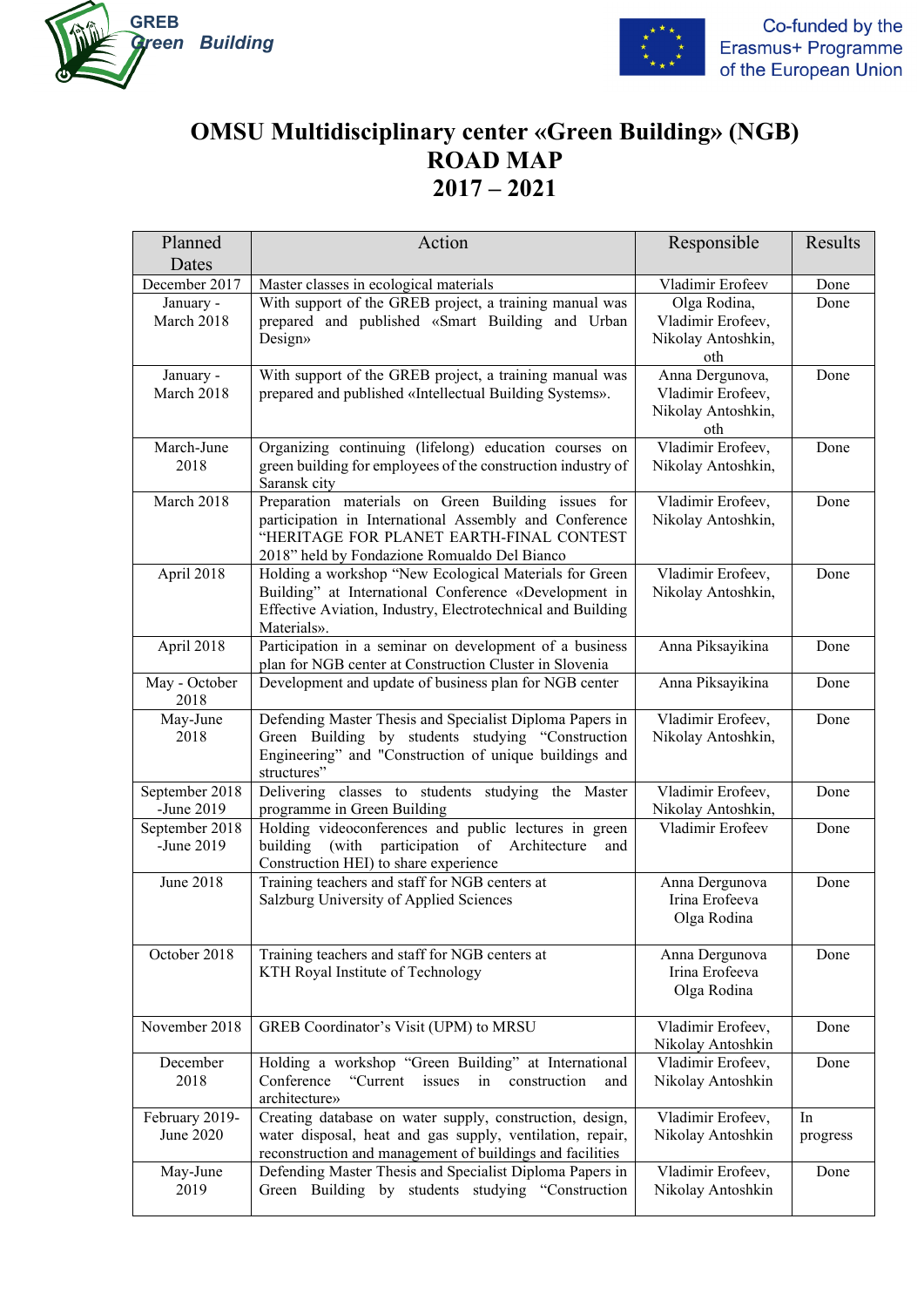



## **OMSU Multidisciplinary center «Green Building» (NGB) ROAD MAP 2017 – 2021**

| Planned                     | Action                                                                                                                | Responsible                            | Results  |
|-----------------------------|-----------------------------------------------------------------------------------------------------------------------|----------------------------------------|----------|
| Dates                       |                                                                                                                       |                                        |          |
| December 2017               | Master classes in ecological materials                                                                                | Vladimir Erofeev                       | Done     |
| January -                   | With support of the GREB project, a training manual was                                                               | Olga Rodina,                           | Done     |
| March 2018                  | prepared and published «Smart Building and Urban                                                                      | Vladimir Erofeev,                      |          |
|                             | Design»                                                                                                               | Nikolay Antoshkin,<br>oth              |          |
| January -                   | With support of the GREB project, a training manual was                                                               | Anna Dergunova,                        | Done     |
| March 2018                  | prepared and published «Intellectual Building Systems».                                                               | Vladimir Erofeev,                      |          |
|                             |                                                                                                                       | Nikolay Antoshkin,                     |          |
|                             |                                                                                                                       | oth                                    |          |
| March-June                  | Organizing continuing (lifelong) education courses on                                                                 | Vladimir Erofeev,                      | Done     |
| 2018                        | green building for employees of the construction industry of                                                          | Nikolay Antoshkin,                     |          |
| March 2018                  | Saransk city<br>Preparation materials on Green Building issues for                                                    | Vladimir Erofeev,                      | Done     |
|                             | participation in International Assembly and Conference                                                                | Nikolay Antoshkin,                     |          |
|                             | "HERITAGE FOR PLANET EARTH-FINAL CONTEST                                                                              |                                        |          |
|                             | 2018" held by Fondazione Romualdo Del Bianco                                                                          |                                        |          |
| April 2018                  | Holding a workshop "New Ecological Materials for Green                                                                | Vladimir Erofeev,                      | Done     |
|                             | Building" at International Conference «Development in                                                                 | Nikolay Antoshkin,                     |          |
|                             | Effective Aviation, Industry, Electrotechnical and Building<br>Materials».                                            |                                        |          |
| April 2018                  | Participation in a seminar on development of a business                                                               | Anna Piksayikina                       | Done     |
|                             | plan for NGB center at Construction Cluster in Slovenia                                                               |                                        |          |
| May - October               | Development and update of business plan for NGB center                                                                | Anna Piksayikina                       | Done     |
| 2018                        |                                                                                                                       |                                        |          |
| May-June                    | Defending Master Thesis and Specialist Diploma Papers in                                                              | Vladimir Erofeev,                      | Done     |
| 2018                        | Green Building by students studying "Construction<br>Engineering" and "Construction of unique buildings and           | Nikolay Antoshkin,                     |          |
|                             | structures"                                                                                                           |                                        |          |
| September 2018              | Delivering classes to students studying the Master                                                                    | Vladimir Erofeev,                      | Done     |
| -June 2019                  | programme in Green Building                                                                                           | Nikolay Antoshkin,                     |          |
| September 2018              | Holding videoconferences and public lectures in green                                                                 | Vladimir Erofeev                       | Done     |
| -June 2019                  | of Architecture<br>(with<br>participation<br>building<br>and                                                          |                                        |          |
| June 2018                   | Construction HEI) to share experience<br>Training teachers and staff for NGB centers at                               | Anna Dergunova                         | Done     |
|                             | Salzburg University of Applied Sciences                                                                               | Irina Erofeeva                         |          |
|                             |                                                                                                                       | Olga Rodina                            |          |
|                             |                                                                                                                       |                                        |          |
| October 2018                | Training teachers and staff for NGB centers at                                                                        | Anna Dergunova                         | Done     |
|                             | KTH Royal Institute of Technology                                                                                     | Irina Erofeeva                         |          |
|                             |                                                                                                                       | Olga Rodina                            |          |
| November 2018               | GREB Coordinator's Visit (UPM) to MRSU                                                                                | Vladimir Erofeev,                      | Done     |
|                             |                                                                                                                       | Nikolay Antoshkin                      |          |
| December                    | Holding a workshop "Green Building" at International                                                                  | Vladimir Erofeev,                      | Done     |
| 2018                        | Conference<br>"Current<br>issues<br>in construction<br>and                                                            | Nikolay Antoshkin                      |          |
|                             | architecture»                                                                                                         |                                        |          |
| February 2019-<br>June 2020 | Creating database on water supply, construction, design,<br>water disposal, heat and gas supply, ventilation, repair, | Vladimir Erofeev,<br>Nikolay Antoshkin | In       |
|                             | reconstruction and management of buildings and facilities                                                             |                                        | progress |
| May-June                    | Defending Master Thesis and Specialist Diploma Papers in                                                              | Vladimir Erofeev,                      | Done     |
| 2019                        | Green Building by students studying "Construction                                                                     | Nikolay Antoshkin                      |          |
|                             |                                                                                                                       |                                        |          |